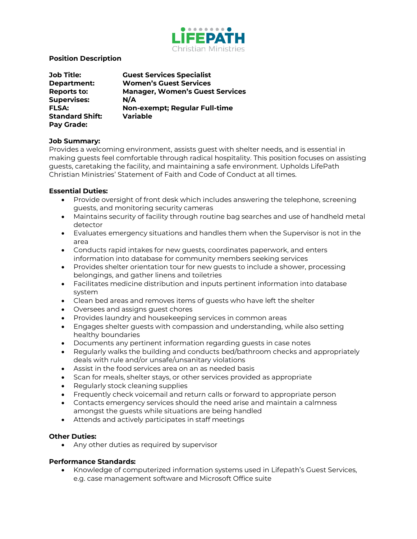

# **Position Description**

| <b>Job Title:</b>      | <b>Guest Services Specialist</b>       |
|------------------------|----------------------------------------|
| Department:            | <b>Women's Guest Services</b>          |
| <b>Reports to:</b>     | <b>Manager, Women's Guest Services</b> |
| <b>Supervises:</b>     | N/A                                    |
| <b>FLSA:</b>           | Non-exempt; Regular Full-time          |
| <b>Standard Shift:</b> | <b>Variable</b>                        |
| Pay Grade:             |                                        |

### **Job Summary:**

Provides a welcoming environment, assists guest with shelter needs, and is essential in making guests feel comfortable through radical hospitality. This position focuses on assisting guests, caretaking the facility, and maintaining a safe environment. Upholds LifePath Christian Ministries' Statement of Faith and Code of Conduct at all times.

#### **Essential Duties:**

- Provide oversight of front desk which includes answering the telephone, screening guests, and monitoring security cameras
- Maintains security of facility through routine bag searches and use of handheld metal detector
- Evaluates emergency situations and handles them when the Supervisor is not in the area
- Conducts rapid intakes for new guests, coordinates paperwork, and enters information into database for community members seeking services
- Provides shelter orientation tour for new guests to include a shower, processing belongings, and gather linens and toiletries
- Facilitates medicine distribution and inputs pertinent information into database system
- Clean bed areas and removes items of guests who have left the shelter
- Oversees and assigns guest chores
- Provides laundry and housekeeping services in common areas
- Engages shelter guests with compassion and understanding, while also setting healthy boundaries
- Documents any pertinent information regarding guests in case notes
- Regularly walks the building and conducts bed/bathroom checks and appropriately deals with rule and/or unsafe/unsanitary violations
- Assist in the food services area on an as needed basis
- Scan for meals, shelter stays, or other services provided as appropriate
- Regularly stock cleaning supplies
- Frequently check voicemail and return calls or forward to appropriate person
- Contacts emergency services should the need arise and maintain a calmness amongst the guests while situations are being handled
- Attends and actively participates in staff meetings

#### **Other Duties:**

• Any other duties as required by supervisor

#### **Performance Standards:**

• Knowledge of computerized information systems used in Lifepath's Guest Services, e.g. case management software and Microsoft Office suite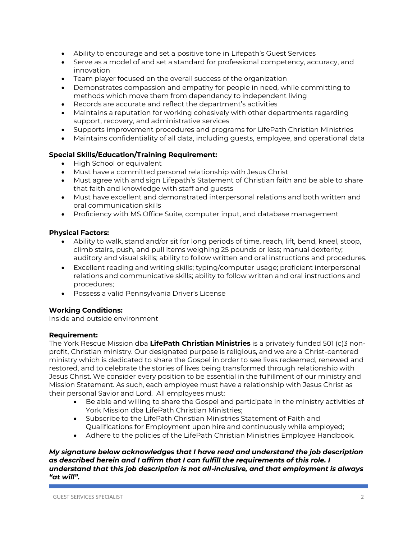- Ability to encourage and set a positive tone in Lifepath's Guest Services
- Serve as a model of and set a standard for professional competency, accuracy, and innovation
- Team player focused on the overall success of the organization
- Demonstrates compassion and empathy for people in need, while committing to methods which move them from dependency to independent living
- Records are accurate and reflect the department's activities
- Maintains a reputation for working cohesively with other departments regarding support, recovery, and administrative services
- Supports improvement procedures and programs for LifePath Christian Ministries
- Maintains confidentiality of all data, including guests, employee, and operational data

# **Special Skills/Education/Training Requirement:**

- High School or equivalent
- Must have a committed personal relationship with Jesus Christ
- Must agree with and sign Lifepath's Statement of Christian faith and be able to share that faith and knowledge with staff and guests
- Must have excellent and demonstrated interpersonal relations and both written and oral communication skills
- Proficiency with MS Office Suite, computer input, and database management

# **Physical Factors:**

- Ability to walk, stand and/or sit for long periods of time, reach, lift, bend, kneel, stoop, climb stairs, push, and pull items weighing 25 pounds or less; manual dexterity; auditory and visual skills; ability to follow written and oral instructions and procedures.
- Excellent reading and writing skills; typing/computer usage; proficient interpersonal relations and communicative skills; ability to follow written and oral instructions and procedures;
- Possess a valid Pennsylvania Driver's License

# **Working Conditions:**

Inside and outside environment

### **Requirement:**

The York Rescue Mission dba **LifePath Christian Ministries** is a privately funded 501 (c)3 nonprofit, Christian ministry. Our designated purpose is religious, and we are a Christ-centered ministry which is dedicated to share the Gospel in order to see lives redeemed, renewed and restored, and to celebrate the stories of lives being transformed through relationship with Jesus Christ. We consider every position to be essential in the fulfillment of our ministry and Mission Statement. As such, each employee must have a relationship with Jesus Christ as their personal Savior and Lord. All employees must:

- Be able and willing to share the Gospel and participate in the ministry activities of York Mission dba LifePath Christian Ministries;
- Subscribe to the LifePath Christian Ministries Statement of Faith and Qualifications for Employment upon hire and continuously while employed;
- Adhere to the policies of the LifePath Christian Ministries Employee Handbook.

### *My signature below acknowledges that I have read and understand the job description as described herein and I affirm that I can fulfill the requirements of this role. I understand that this job description is not all-inclusive, and that employment is always "at will".*